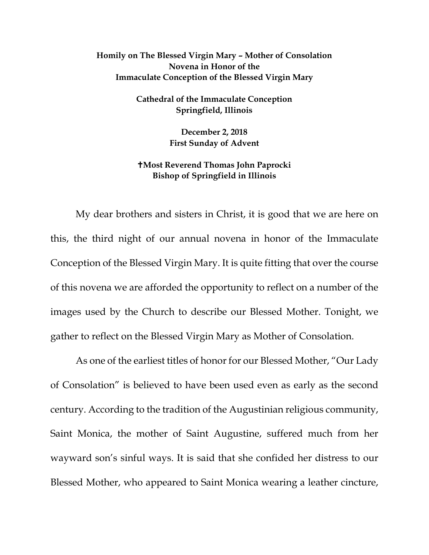## **Homily on The Blessed Virgin Mary – Mother of Consolation Novena in Honor of the Immaculate Conception of the Blessed Virgin Mary**

**Cathedral of the Immaculate Conception Springfield, Illinois**

> **December 2, 2018 First Sunday of Advent**

## **Most Reverend Thomas John Paprocki Bishop of Springfield in Illinois**

My dear brothers and sisters in Christ, it is good that we are here on this, the third night of our annual novena in honor of the Immaculate Conception of the Blessed Virgin Mary. It is quite fitting that over the course of this novena we are afforded the opportunity to reflect on a number of the images used by the Church to describe our Blessed Mother. Tonight, we gather to reflect on the Blessed Virgin Mary as Mother of Consolation.

As one of the earliest titles of honor for our Blessed Mother, "Our Lady of Consolation" is believed to have been used even as early as the second century. According to the tradition of the Augustinian religious community, Saint Monica, the mother of Saint Augustine, suffered much from her wayward son's sinful ways. It is said that she confided her distress to our Blessed Mother, who appeared to Saint Monica wearing a leather cincture,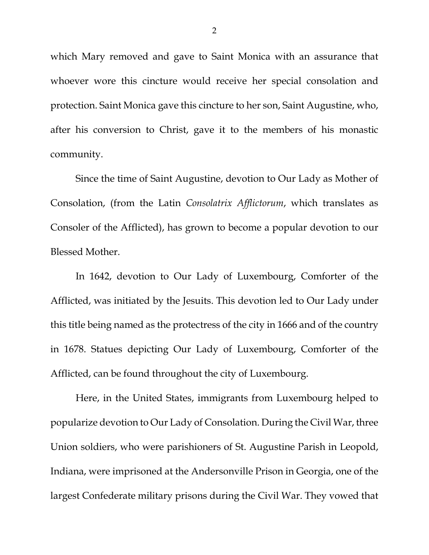which Mary removed and gave to Saint Monica with an assurance that whoever wore this cincture would receive her special consolation and protection. Saint Monica gave this cincture to her son, Saint Augustine, who, after his conversion to Christ, gave it to the members of his monastic community.

Since the time of Saint Augustine, devotion to Our Lady as Mother of Consolation, (from the Latin *Consolatrix Afflictorum*, which translates as Consoler of the Afflicted), has grown to become a popular devotion to our Blessed Mother.

In 1642, devotion to Our Lady of Luxembourg, Comforter of the Afflicted, was initiated by the Jesuits. This devotion led to Our Lady under this title being named as the protectress of the city in 1666 and of the country in 1678. Statues depicting Our Lady of Luxembourg, Comforter of the Afflicted, can be found throughout the city of Luxembourg.

<span id="page-1-0"></span>Here, in the United States, immigrants from Luxembourg helped to popularize devotion to Our Lady of Consolation. During the Civil War, three Union soldiers, who were parishioners of St. Augustine Parish in Leopold, Indiana, were imprisoned at the Andersonville Prison in Georgia, one of the largest Confederate military prisons during the Civil War. They vowed that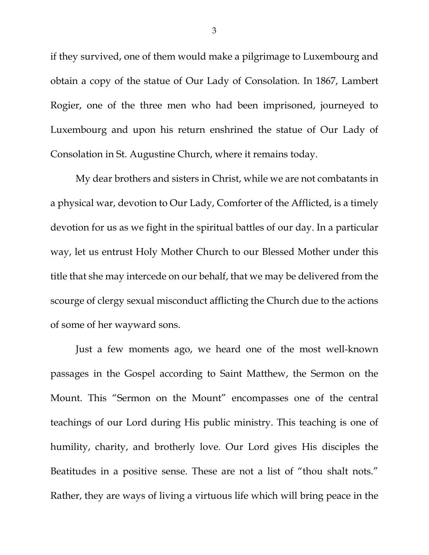if they survived, one of them would make a pilgrimage to Luxembourg and obtain a copy of the statue of Our Lady of Consolation. In 1867, Lambert Rogier, one of the three men who had been imprisoned, journeyed to Luxembourg and upon his return enshrined the statue of Our Lady of Consolation in St. Augustine Church, where it remains today.

My dear brothers and sisters in Christ, while we are not combatants in a physical war, devotion to Our Lady, Comforter of the Afflicted, is a timely devotion for us as we fight in the spiritual battles of our day. In a particular way, let us entrust Holy Mother Church to our Blessed Mother under this title that she may intercede on our behalf, that we may be delivered from the scourge of clergy sexual misconduct afflicting the Church due to the actions of some of her wayward sons.

Just a few moments ago, we heard one of the most well-known passages in the Gospel according to Saint Matthew, the Sermon on the Mount. This "Sermon on the Mount" encompasses one of the central teachings of our Lord during His public ministry. This teaching is one of humility, charity, and brotherly love. Our Lord gives His disciples the Beatitudes in a positive sense. These are not a list of "thou shalt nots." Rather, they are ways of living a virtuous life which will bring peace in the

3